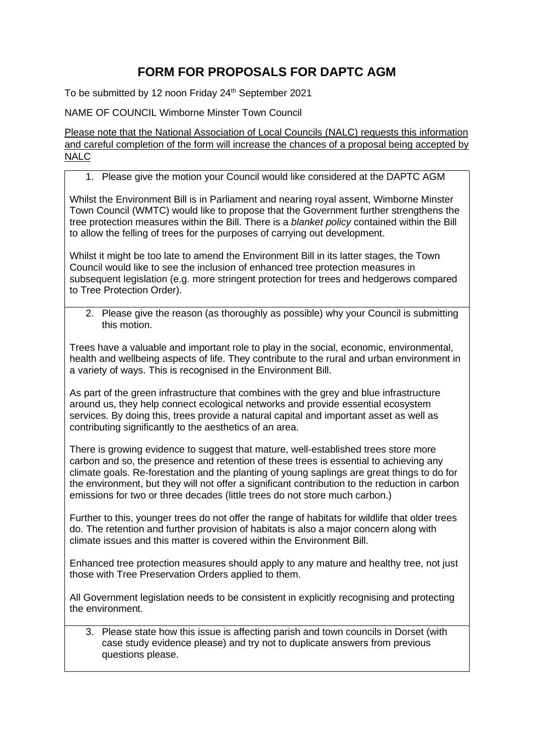## **FORM FOR PROPOSALS FOR DAPTC AGM**

To be submitted by 12 noon Friday 24<sup>th</sup> September 2021

NAME OF COUNCIL Wimborne Minster Town Council

Please note that the National Association of Local Councils (NALC) requests this information and careful completion of the form will increase the chances of a proposal being accepted by NALC<sub></sub>

## 1. Please give the motion your Council would like considered at the DAPTC AGM

Whilst the Environment Bill is in Parliament and nearing royal assent, Wimborne Minster Town Council (WMTC) would like to propose that the Government further strengthens the tree protection measures within the Bill. There is a *blanket policy* contained within the Bill to allow the felling of trees for the purposes of carrying out development.

Whilst it might be too late to amend the Environment Bill in its latter stages, the Town Council would like to see the inclusion of enhanced tree protection measures in subsequent legislation (e.g. more stringent protection for trees and hedgerows compared to Tree Protection Order).

2. Please give the reason (as thoroughly as possible) why your Council is submitting this motion.

Trees have a valuable and important role to play in the social, economic, environmental, health and wellbeing aspects of life. They contribute to the rural and urban environment in a variety of ways. This is recognised in the Environment Bill.

As part of the green infrastructure that combines with the grey and blue infrastructure around us, they help connect ecological networks and provide essential ecosystem services. By doing this, trees provide a natural capital and important asset as well as contributing significantly to the aesthetics of an area.

There is growing evidence to suggest that mature, well-established trees store more carbon and so, the presence and retention of these trees is essential to achieving any climate goals. Re-forestation and the planting of young saplings are great things to do for the environment, but they will not offer a significant contribution to the reduction in carbon emissions for two or three decades (little trees do not store much carbon.)

Further to this, younger trees do not offer the range of habitats for wildlife that older trees do. The retention and further provision of habitats is also a major concern along with climate issues and this matter is covered within the Environment Bill.

Enhanced tree protection measures should apply to any mature and healthy tree, not just those with Tree Preservation Orders applied to them.

All Government legislation needs to be consistent in explicitly recognising and protecting the environment.

3. Please state how this issue is affecting parish and town councils in Dorset (with case study evidence please) and try not to duplicate answers from previous questions please.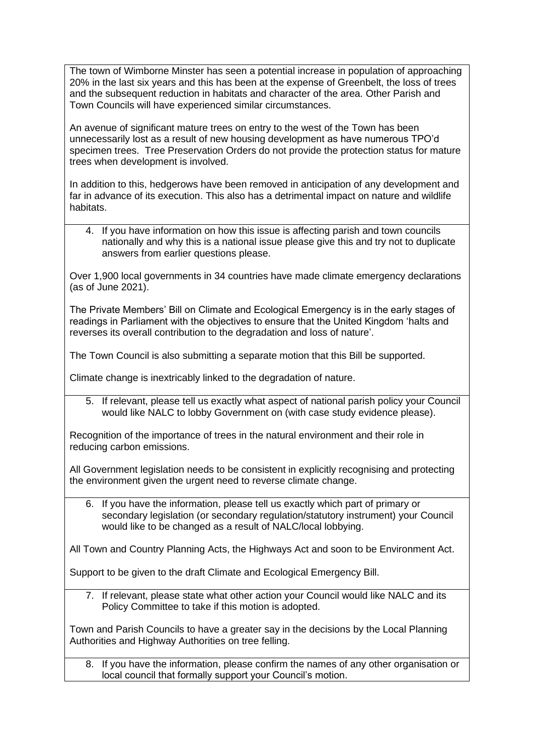The town of Wimborne Minster has seen a potential increase in population of approaching 20% in the last six years and this has been at the expense of Greenbelt, the loss of trees and the subsequent reduction in habitats and character of the area. Other Parish and Town Councils will have experienced similar circumstances.

An avenue of significant mature trees on entry to the west of the Town has been unnecessarily lost as a result of new housing development as have numerous TPO'd specimen trees. Tree Preservation Orders do not provide the protection status for mature trees when development is involved.

In addition to this, hedgerows have been removed in anticipation of any development and far in advance of its execution. This also has a detrimental impact on nature and wildlife habitats.

4. If you have information on how this issue is affecting parish and town councils nationally and why this is a national issue please give this and try not to duplicate answers from earlier questions please.

Over 1,900 local governments in 34 countries have made climate emergency declarations (as of June 2021).

The Private Members' Bill on Climate and Ecological Emergency is in the early stages of readings in Parliament with the objectives to ensure that the United Kingdom 'halts and reverses its overall contribution to the degradation and loss of nature'.

The Town Council is also submitting a separate motion that this Bill be supported.

Climate change is inextricably linked to the degradation of nature.

5. If relevant, please tell us exactly what aspect of national parish policy your Council would like NALC to lobby Government on (with case study evidence please).

Recognition of the importance of trees in the natural environment and their role in reducing carbon emissions.

All Government legislation needs to be consistent in explicitly recognising and protecting the environment given the urgent need to reverse climate change.

6. If you have the information, please tell us exactly which part of primary or secondary legislation (or secondary regulation/statutory instrument) your Council would like to be changed as a result of NALC/local lobbying.

All Town and Country Planning Acts, the Highways Act and soon to be Environment Act.

Support to be given to the draft Climate and Ecological Emergency Bill.

7. If relevant, please state what other action your Council would like NALC and its Policy Committee to take if this motion is adopted.

Town and Parish Councils to have a greater say in the decisions by the Local Planning Authorities and Highway Authorities on tree felling.

8. If you have the information, please confirm the names of any other organisation or local council that formally support your Council's motion.